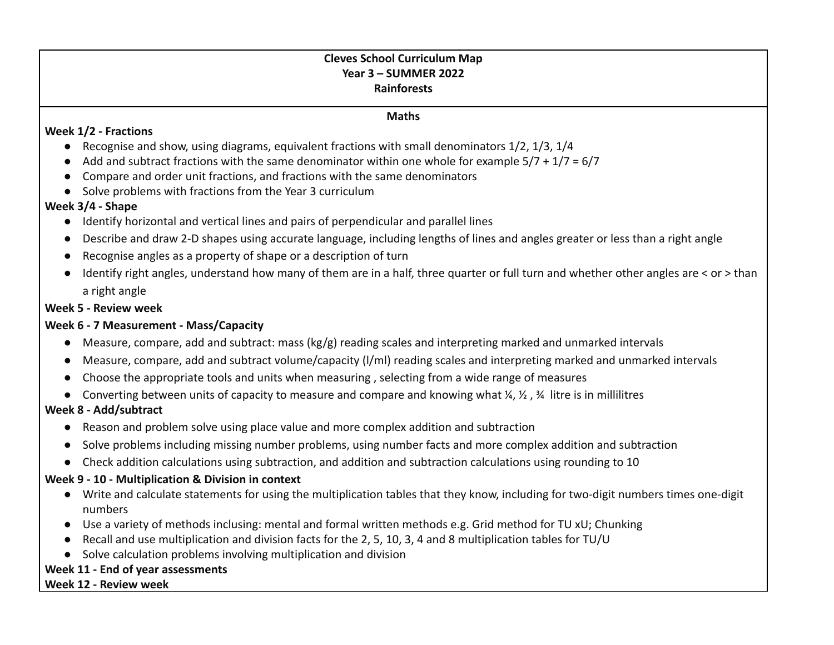## **Cleves School Curriculum Map Year 3 – SUMMER 2022 Rainforests**

#### **Maths**

#### **Week 1/2 - Fractions**

- $\bullet$  Recognise and show, using diagrams, equivalent fractions with small denominators 1/2, 1/3, 1/4
- $\bullet$  Add and subtract fractions with the same denominator within one whole for example  $5/7 + 1/7 = 6/7$
- Compare and order unit fractions, and fractions with the same denominators
- Solve problems with fractions from the Year 3 curriculum

## **Week 3/4 - Shape**

- Identify horizontal and vertical lines and pairs of perpendicular and parallel lines
- Describe and draw 2-D shapes using accurate language, including lengths of lines and angles greater or less than a right angle
- Recognise angles as a property of shape or a description of turn
- Identify right angles, understand how many of them are in a half, three quarter or full turn and whether other angles are < or > than a right angle

### **Week 5 - Review week**

### **Week 6 - 7 Measurement - Mass/Capacity**

- Measure, compare, add and subtract: mass (kg/g) reading scales and interpreting marked and unmarked intervals
- Measure, compare, add and subtract volume/capacity (l/ml) reading scales and interpreting marked and unmarked intervals
- Choose the appropriate tools and units when measuring , selecting from a wide range of measures
- **●** Converting between units of capacity to measure and compare and knowing what ¼, ½ , ¾ litre is in millilitres

### **Week 8 - Add/subtract**

- Reason and problem solve using place value and more complex addition and subtraction
- Solve problems including missing number problems, using number facts and more complex addition and subtraction
- Check addition calculations using subtraction, and addition and subtraction calculations using rounding to 10

# **Week 9 - 10 - Multiplication & Division in context**

- Write and calculate statements for using the multiplication tables that they know, including for two-digit numbers times one-digit numbers
- Use a variety of methods inclusing: mental and formal written methods e.g. Grid method for TU xU; Chunking
- Recall and use multiplication and division facts for the 2, 5, 10, 3, 4 and 8 multiplication tables for TU/U
- Solve calculation problems involving multiplication and division

# **Week 11 - End of year assessments**

#### **Week 12 - Review week**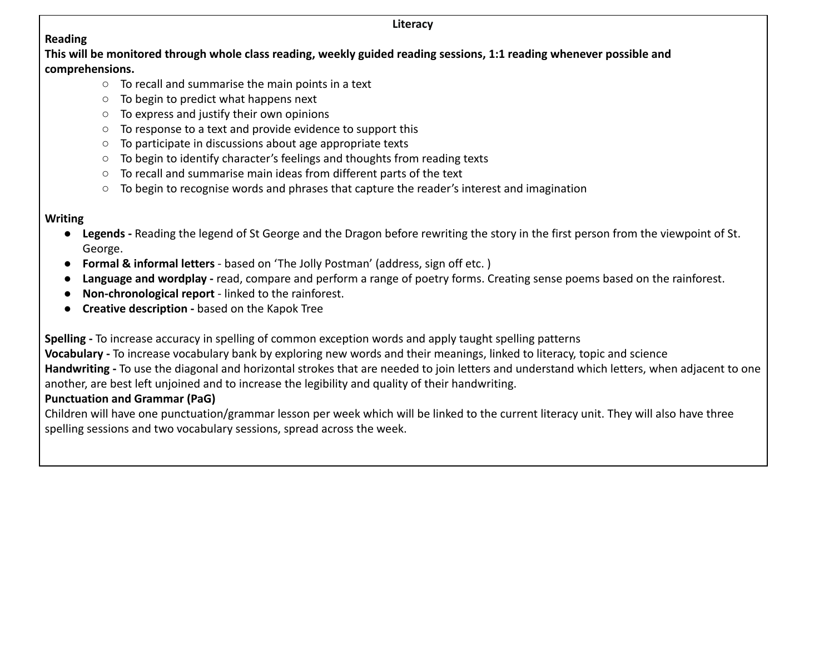#### **Literacy**

# **Reading**

**This will be monitored through whole class reading, weekly guided reading sessions, 1:1 reading whenever possible and comprehensions.**

- To recall and summarise the main points in a text
- To begin to predict what happens next
- To express and justify their own opinions
- To response to a text and provide evidence to support this
- To participate in discussions about age appropriate texts
- To begin to identify character's feelings and thoughts from reading texts
- To recall and summarise main ideas from different parts of the text
- To begin to recognise words and phrases that capture the reader's interest and imagination

# **Writing**

- **Legends -** Reading the legend of St George and the Dragon before rewriting the story in the first person from the viewpoint of St. George.
- **Formal & informal letters** based on 'The Jolly Postman' (address, sign off etc. )
- **Language and wordplay -** read, compare and perform a range of poetry forms. Creating sense poems based on the rainforest.
- **Non-chronological report** linked to the rainforest.
- **Creative description -** based on the Kapok Tree

**Spelling -** To increase accuracy in spelling of common exception words and apply taught spelling patterns

**Vocabulary -** To increase vocabulary bank by exploring new words and their meanings, linked to literacy, topic and science **Handwriting -** To use the diagonal and horizontal strokes that are needed to join letters and understand which letters, when adjacent to one another, are best left unjoined and to increase the legibility and quality of their handwriting.

# **Punctuation and Grammar (PaG)**

Children will have one punctuation/grammar lesson per week which will be linked to the current literacy unit. They will also have three spelling sessions and two vocabulary sessions, spread across the week.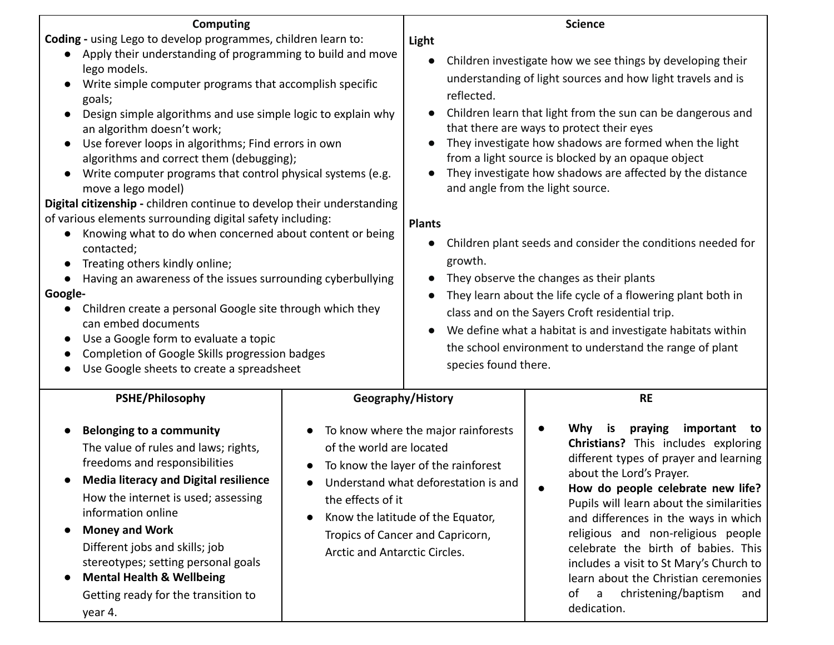| <b>Computing</b>                                                                                                                                                                                                                                                                                                                                                                                                                                                                                                                                                                                                                                                                                                                                                                                                                                                                                                                                                                                                                                                                                                                 |                                                                                                    |                                                                                                                                                                                                                                                                                                                                                                                                                                                                                                                                                                                                                                                                                                                                                                                                                                                                                                                     | <b>Science</b>                                                                                                                                                                                                                                                                                                                                                                                                                                                                                               |
|----------------------------------------------------------------------------------------------------------------------------------------------------------------------------------------------------------------------------------------------------------------------------------------------------------------------------------------------------------------------------------------------------------------------------------------------------------------------------------------------------------------------------------------------------------------------------------------------------------------------------------------------------------------------------------------------------------------------------------------------------------------------------------------------------------------------------------------------------------------------------------------------------------------------------------------------------------------------------------------------------------------------------------------------------------------------------------------------------------------------------------|----------------------------------------------------------------------------------------------------|---------------------------------------------------------------------------------------------------------------------------------------------------------------------------------------------------------------------------------------------------------------------------------------------------------------------------------------------------------------------------------------------------------------------------------------------------------------------------------------------------------------------------------------------------------------------------------------------------------------------------------------------------------------------------------------------------------------------------------------------------------------------------------------------------------------------------------------------------------------------------------------------------------------------|--------------------------------------------------------------------------------------------------------------------------------------------------------------------------------------------------------------------------------------------------------------------------------------------------------------------------------------------------------------------------------------------------------------------------------------------------------------------------------------------------------------|
| Coding - using Lego to develop programmes, children learn to:<br>Apply their understanding of programming to build and move<br>$\bullet$<br>lego models.<br>Write simple computer programs that accomplish specific<br>goals;<br>Design simple algorithms and use simple logic to explain why<br>$\bullet$<br>an algorithm doesn't work;<br>Use forever loops in algorithms; Find errors in own<br>algorithms and correct them (debugging);<br>Write computer programs that control physical systems (e.g.<br>$\bullet$<br>move a lego model)<br>Digital citizenship - children continue to develop their understanding<br>of various elements surrounding digital safety including:<br>Knowing what to do when concerned about content or being<br>contacted;<br>Treating others kindly online;<br>Having an awareness of the issues surrounding cyberbullying<br>Google-<br>Children create a personal Google site through which they<br>can embed documents<br>Use a Google form to evaluate a topic<br>$\bullet$<br>Completion of Google Skills progression badges<br>$\bullet$<br>Use Google sheets to create a spreadsheet |                                                                                                    | Light<br>Children investigate how we see things by developing their<br>$\bullet$<br>understanding of light sources and how light travels and is<br>reflected.<br>Children learn that light from the sun can be dangerous and<br>that there are ways to protect their eyes<br>They investigate how shadows are formed when the light<br>from a light source is blocked by an opaque object<br>They investigate how shadows are affected by the distance<br>and angle from the light source.<br><b>Plants</b><br>Children plant seeds and consider the conditions needed for<br>growth.<br>They observe the changes as their plants<br>$\bullet$<br>They learn about the life cycle of a flowering plant both in<br>class and on the Sayers Croft residential trip.<br>We define what a habitat is and investigate habitats within<br>the school environment to understand the range of plant<br>species found there. |                                                                                                                                                                                                                                                                                                                                                                                                                                                                                                              |
| PSHE/Philosophy                                                                                                                                                                                                                                                                                                                                                                                                                                                                                                                                                                                                                                                                                                                                                                                                                                                                                                                                                                                                                                                                                                                  | Geography/History                                                                                  |                                                                                                                                                                                                                                                                                                                                                                                                                                                                                                                                                                                                                                                                                                                                                                                                                                                                                                                     | <b>RE</b>                                                                                                                                                                                                                                                                                                                                                                                                                                                                                                    |
| <b>Belonging to a community</b><br>$\bullet$<br>The value of rules and laws; rights,<br>freedoms and responsibilities<br><b>Media literacy and Digital resilience</b><br>$\bullet$<br>How the internet is used; assessing<br>information online<br><b>Money and Work</b><br>$\bullet$<br>Different jobs and skills; job<br>stereotypes; setting personal goals<br><b>Mental Health &amp; Wellbeing</b><br>Getting ready for the transition to<br>year 4.                                                                                                                                                                                                                                                                                                                                                                                                                                                                                                                                                                                                                                                                         | of the world are located<br>the effects of it<br>$\bullet$<br><b>Arctic and Antarctic Circles.</b> | To know where the major rainforests<br>To know the layer of the rainforest<br>Understand what deforestation is and<br>Know the latitude of the Equator,<br>Tropics of Cancer and Capricorn,                                                                                                                                                                                                                                                                                                                                                                                                                                                                                                                                                                                                                                                                                                                         | <b>Why</b><br>praying<br>important<br>is<br>to<br>Christians? This includes exploring<br>different types of prayer and learning<br>about the Lord's Prayer.<br>How do people celebrate new life?<br>Pupils will learn about the similarities<br>and differences in the ways in which<br>religious and non-religious people<br>celebrate the birth of babies. This<br>includes a visit to St Mary's Church to<br>learn about the Christian ceremonies<br>christening/baptism<br>of<br>a<br>and<br>dedication. |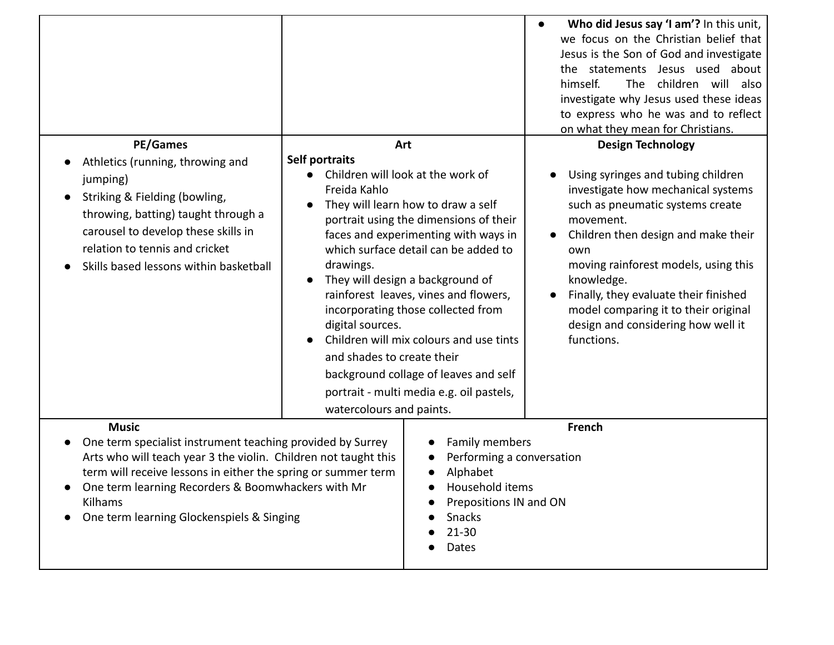|                                                                                                                                                                                                                                                                                                                              |                                                                                                                                                                                                                                                                                                                                                                                                                                                                                                                                                                                          | Who did Jesus say 'I am'? In this unit,<br>$\bullet$<br>we focus on the Christian belief that<br>Jesus is the Son of God and investigate<br>the statements Jesus used about<br>children will also<br>himself.<br>The<br>investigate why Jesus used these ideas<br>to express who he was and to reflect<br>on what they mean for Christians.                                                                                           |
|------------------------------------------------------------------------------------------------------------------------------------------------------------------------------------------------------------------------------------------------------------------------------------------------------------------------------|------------------------------------------------------------------------------------------------------------------------------------------------------------------------------------------------------------------------------------------------------------------------------------------------------------------------------------------------------------------------------------------------------------------------------------------------------------------------------------------------------------------------------------------------------------------------------------------|---------------------------------------------------------------------------------------------------------------------------------------------------------------------------------------------------------------------------------------------------------------------------------------------------------------------------------------------------------------------------------------------------------------------------------------|
| <b>PE/Games</b><br>Athletics (running, throwing and<br>jumping)<br>Striking & Fielding (bowling,<br>$\bullet$<br>throwing, batting) taught through a<br>carousel to develop these skills in<br>relation to tennis and cricket<br>Skills based lessons within basketball                                                      | Art<br>Self portraits<br>Children will look at the work of<br>Freida Kahlo<br>They will learn how to draw a self<br>portrait using the dimensions of their<br>faces and experimenting with ways in<br>which surface detail can be added to<br>drawings.<br>They will design a background of<br>rainforest leaves, vines and flowers,<br>incorporating those collected from<br>digital sources.<br>Children will mix colours and use tints<br>and shades to create their<br>background collage of leaves and self<br>portrait - multi media e.g. oil pastels,<br>watercolours and paints. | <b>Design Technology</b><br>Using syringes and tubing children<br>$\bullet$<br>investigate how mechanical systems<br>such as pneumatic systems create<br>movement.<br>Children then design and make their<br>$\bullet$<br>own<br>moving rainforest models, using this<br>knowledge.<br>Finally, they evaluate their finished<br>$\bullet$<br>model comparing it to their original<br>design and considering how well it<br>functions. |
| <b>Music</b><br>One term specialist instrument teaching provided by Surrey<br>Arts who will teach year 3 the violin. Children not taught this<br>term will receive lessons in either the spring or summer term<br>One term learning Recorders & Boomwhackers with Mr<br>Kilhams<br>One term learning Glockenspiels & Singing | Family members<br>Performing a conversation<br>Alphabet<br>Household items<br>Prepositions IN and ON<br>Snacks<br>$21 - 30$<br>Dates                                                                                                                                                                                                                                                                                                                                                                                                                                                     | French                                                                                                                                                                                                                                                                                                                                                                                                                                |